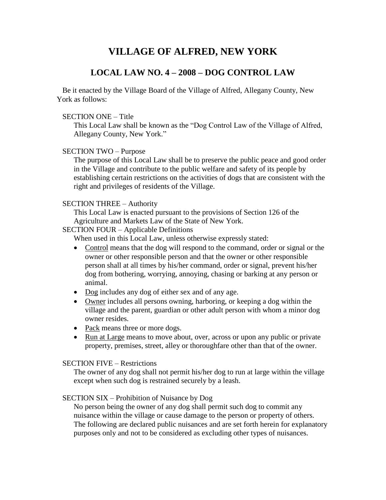# **VILLAGE OF ALFRED, NEW YORK**

## **LOCAL LAW NO. <sup>4</sup> <sup>ñ</sup> <sup>2008</sup> <sup>ñ</sup> DOG CONTROL LAW**

Be it enacted by the Village Board of the Village of Alfred, Allegany County, New York as follows:

### SECTION ONE - Title

TION ONE – Title<br>This Local Law shall be known as the "Dog Control Law of the Village of Alfred, TION ONE – Title<br>This Local Law shall be known as the<br>Allegany County, New York." Allegany County, New York."<br>SECTION TWO – Purpose

The purpose of this Local Law shall be to preserve the public peace and good order in the Village and contribute to the public welfare and safety of its people by establishing certain restrictions on the activities of dogs that are consistent with the right and privileges of residents of the Village.<br>SECTION THREE – Authority

This Local Law is enacted pursuant to the provisions of Section 126 of the Agriculture and Markets Law of the State of New York.<br>SECTION FOUR – Applicable Definitions Agriculture and Markets Law of the State of New York.

SECTION FOUR – Applicable Definitions<br>When used in this Local Law, unless otherwise expressly stated:

- Control means that the dog will respond to the command, order or signal or the  $\bullet$ owner or other responsible person and that the owner or other responsible person shall at all times by his/her command, order or signal, prevent his/her dog from bothering, worrying, annoying, chasing or barking at any person or animal. obtained animal.<br>• Dog includes any dog of either sex and of any age.
- 
- Owner includes all persons owning, harboring, or keeping a dog within the village and the parent, guardian or other adult person with whom a minor dog owner resides. owner resides.<br>• Pack means three or more dogs.
- 
- Run at Large means to move about, over, across or upon any public or private property, premises, street, alley or thoroughfare other than that of the owner.<br>SECTION FIVE – Restrictions

The owner of any dog shall not permit his/her dog to run at large within the village except when such dog is restrained securely by a leash.<br>SECTION SIX – Prohibition of Nuisance by Dog

No person being the owner of any dog shall permit such dog to commit any nuisance within the village or cause damage to the person or property of others. The following are declared public nuisances and are set forth herein for explanatory purposes only and not to be considered as excluding other types of nuisances.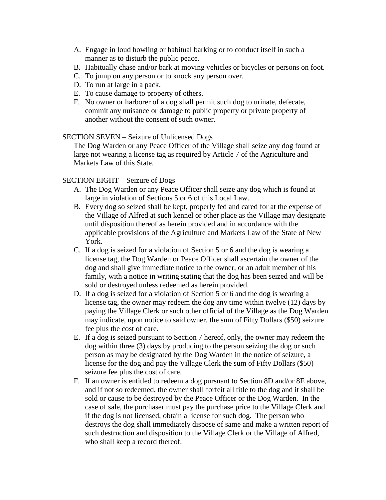- A. Engage in loud howling or habitual barking or to conduct itself in such a manner as to disturb the public peace.
- B. Habitually chase and/or bark at moving vehicles or bicycles or persons on foot.
- C. To jump on any person or to knock any person over.
- D. To run at large in a pack.
- E. To cause damage to property of others.
- F. No owner or harborer of a dog shall permit such dog to urinate, defecate, commit any nuisance or damage to public property or private property of another without the consent of such owner.

### SECTION SEVEN – Seizure of Unlicensed Dogs

The Dog Warden or any Peace Officer of the Village shall seize any dog found at large not wearing a license tag as required by Article 7 of the Agriculture and Markets Law of this State.

### SECTION EIGHT – Seizure of Dogs

- A. The Dog Warden or any Peace Officer shall seize any dog which is found at large in violation of Sections 5 or 6 of this Local Law.
- B. Every dog so seized shall be kept, properly fed and cared for at the expense of the Village of Alfred at such kennel or other place as the Village may designate until disposition thereof as herein provided and in accordance with the applicable provisions of the Agriculture and Markets Law of the State of New York.
- C. If a dog is seized for a violation of Section 5 or 6 and the dog is wearing a license tag, the Dog Warden or Peace Officer shall ascertain the owner of the dog and shall give immediate notice to the owner, or an adult member of his family, with a notice in writing stating that the dog has been seized and will be sold or destroyed unless redeemed as herein provided.
- D. If a dog is seized for a violation of Section 5 or 6 and the dog is wearing a license tag, the owner may redeem the dog any time within twelve (12) days by paying the Village Clerk or such other official of the Village as the Dog Warden may indicate, upon notice to said owner, the sum of Fifty Dollars (\$50) seizure fee plus the cost of care.
- E. If a dog is seized pursuant to Section 7 hereof, only, the owner may redeem the dog within three (3) days by producing to the person seizing the dog or such person as may be designated by the Dog Warden in the notice of seizure, a license for the dog and pay the Village Clerk the sum of Fifty Dollars (\$50) seizure fee plus the cost of care.
- F. If an owner is entitled to redeem a dog pursuant to Section 8D and/or 8E above, and if not so redeemed, the owner shall forfeit all title to the dog and it shall be sold or cause to be destroyed by the Peace Officer or the Dog Warden. In the case of sale, the purchaser must pay the purchase price to the Village Clerk and if the dog is not licensed, obtain a license for such dog. The person who destroys the dog shall immediately dispose of same and make a written report of such destruction and disposition to the Village Clerk or the Village of Alfred, who shall keep a record thereof.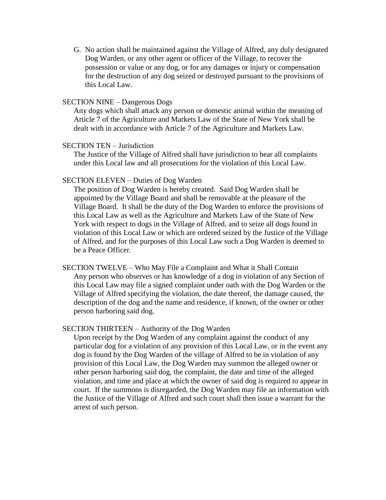G. No action shall be maintained against the Village of Alfred, any duly designated Dog Warden, or any other agent or officer of the Village, to recover the possession or value or any dog, or for any damages or injury or compensation for the destruction of any dog seized or destroyed pursuant to the provisions of this Local Law.

### SECTION NINE – Dangerous Dogs

Any dogs which shall attack any person or domestic animal within the meaning of Article 7 of the Agriculture and Markets Law of the State of New York shall be dealt with in accordance with Article 7 of the Agriculture and Markets Law.<br>SECTION TEN – Jurisdiction

The Justice of the Village of Alfred shall have jurisdiction to hear all complaints under this Local law and all prosecutions for the violation of this Local Law.<br>SECTION ELEVEN – Duties of Dog Warden

The position of Dog Warden is hereby created. Said Dog Warden shall be appointed by the Village Board and shall be removable at the pleasure of the Village Board. It shall be the duty of the Dog Warden to enforce the provisions of this Local Law as well as the Agriculture and Markets Law of the State of New York with respect to dogs in the Village of Alfred, and to seize all dogs found in violation of this Local Law or which are ordered seized by the Justice of the Village of Alfred, and for the purposes of this Local Law such a Dog Warden is deemed to be a Peace Officer.

SECTION TWELVE – Who May File a Complaint and What it Shall Contain Any person who observes or has knowledge of a dog in violation of any Section of this Local Law may file a signed complaint under oath with the Dog Warden or the Village of Alfred specifying the violation, the date thereof, the damage caused, the description of the dog and the name and residence, if known, of the owner or other person harboring said dog.

### SECTION THIRTEEN – Authority of the Dog Warden

Upon receipt by the Dog Warden of any complaint against the conduct of any particular dog for a violation of any provision of this Local Law, or in the event any dog is found by the Dog Warden of the village of Alfred to be in violation of any provision of this Local Law, the Dog Warden may summon the alleged owner or other person harboring said dog, the complaint, the date and time of the alleged violation, and time and place at which the owner of said dog is required to appear in court. If the summons is disregarded, the Dog Warden may file an information with the Justice of the Village of Alfred and such court shall then issue a warrant for the arrest of such person.